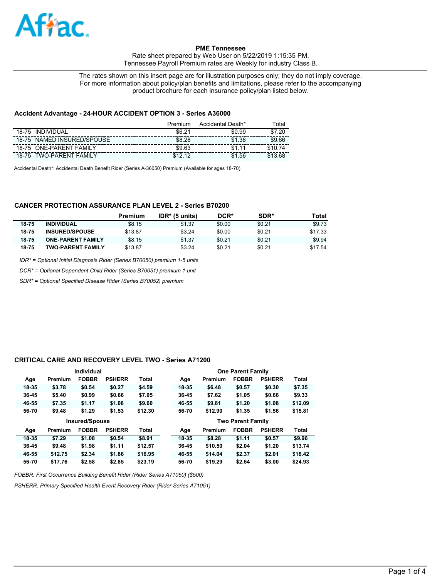

Rate sheet prepared by Web User on 5/22/2019 1:15:35 PM. Tennessee Payroll Premium rates are Weekly for industry Class B.

The rates shown on this insert page are for illustration purposes only; they do not imply coverage. For more information about policy/plan benefits and limitations, please refer to the accompanying product brochure for each insurance policy/plan listed below.

#### **Accident Advantage - 24-HOUR ACCIDENT OPTION 3 - Series A36000**

|                                   | Premium         | Accidental Death* | <sup>⊤</sup> otal    |
|-----------------------------------|-----------------|-------------------|----------------------|
| INDIVIDUAL<br>18-75               | \$6.2<br>$\sim$ | \$0.99            | .2 <sup>c</sup><br>ድ |
| NAMED INSURED/SPOUSE<br>18-75     | \$8.28          | \$1.38            | \$9.66               |
| <b>ONE-PARENT FAMILY</b><br>18-75 | \$9.63          |                   |                      |
| TWO-PARENT<br>FAMII Y<br>18-75    | $\overline{a}$  | .56<br>\$1        |                      |

Accidental Death\*: Accidental Death Benefit Rider (Series A-36050) Premium (Available for ages 18-70)

## **CANCER PROTECTION ASSURANCE PLAN LEVEL 2 - Series B70200**

|       |                          | Premium | $IDR*$ (5 units) | DCR*   | SDR*   | Total   |
|-------|--------------------------|---------|------------------|--------|--------|---------|
| 18-75 | <b>INDIVIDUAL</b>        | \$8.15  | \$1.37           | \$0.00 | \$0.21 | \$9.73  |
| 18-75 | <b>INSURED/SPOUSE</b>    | \$13.87 | \$3.24           | \$0.00 | \$0.21 | \$17.33 |
| 18-75 | <b>ONE-PARENT FAMILY</b> | \$8.15  | \$1.37           | \$0.21 | \$0.21 | \$9.94  |
| 18-75 | <b>TWO-PARENT FAMILY</b> | \$13.87 | \$3.24           | \$0.21 | \$0.21 | \$17.54 |

*IDR\* = Optional Initial Diagnosis Rider (Series B70050) premium 1-5 units*

*DCR\* = Optional Dependent Child Rider (Series B70051) premium 1 unit*

*SDR\* = Optional Specified Disease Rider (Series B70052) premium*

#### **CRITICAL CARE AND RECOVERY LEVEL TWO - Series A71200**

|           |         | Individual            |               |              |       |         | <b>One Parent Family</b> |               |              |
|-----------|---------|-----------------------|---------------|--------------|-------|---------|--------------------------|---------------|--------------|
| Age       | Premium | <b>FOBBR</b>          | <b>PSHERR</b> | <b>Total</b> | Age   | Premium | <b>FOBBR</b>             | <b>PSHERR</b> | <b>Total</b> |
| 18-35     | \$3.78  | \$0.54                | \$0.27        | \$4.59       | 18-35 | \$6.48  | \$0.57                   | \$0.30        | \$7.35       |
| $36 - 45$ | \$5.40  | \$0.99                | \$0.66        | \$7.05       | 36-45 | \$7.62  | \$1.05                   | \$0.66        | \$9.33       |
| 46-55     | \$7.35  | \$1.17                | \$1.08        | \$9.60       | 46-55 | \$9.81  | \$1.20                   | \$1.08        | \$12.09      |
| 56-70     | \$9.48  | \$1.29                | \$1.53        | \$12.30      | 56-70 | \$12.90 | \$1.35                   | \$1.56        | \$15.81      |
|           |         |                       |               |              |       |         |                          |               |              |
|           |         | <b>Insured/Spouse</b> |               |              |       |         | <b>Two Parent Family</b> |               |              |
| Age       | Premium | <b>FOBBR</b>          | <b>PSHERR</b> | <b>Total</b> | Age   | Premium | <b>FOBBR</b>             | <b>PSHERR</b> | <b>Total</b> |
| 18-35     | \$7.29  | \$1.08                | \$0.54        | \$8.91       | 18-35 | \$8.28  | \$1.11                   | \$0.57        | \$9.96       |
| $36 - 45$ | \$9.48  | \$1.98                | \$1.11        | \$12.57      | 36-45 | \$10.50 | \$2.04                   | \$1.20        | \$13.74      |
| 46-55     | \$12.75 | \$2.34                | \$1.86        | \$16.95      | 46-55 | \$14.04 | \$2.37                   | \$2.01        | \$18.42      |

*FOBBR: First Occurrence Building Benefit Rider (Rider Series A71050) (\$500)*

*PSHERR: Primary Specified Health Event Recovery Rider (Rider Series A71051)*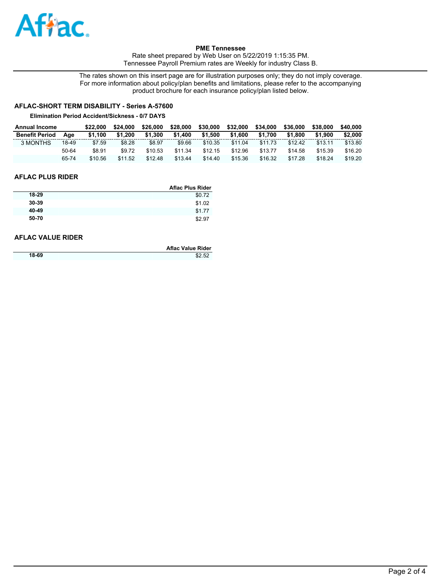

Rate sheet prepared by Web User on 5/22/2019 1:15:35 PM. Tennessee Payroll Premium rates are Weekly for industry Class B.

The rates shown on this insert page are for illustration purposes only; they do not imply coverage. For more information about policy/plan benefits and limitations, please refer to the accompanying product brochure for each insurance policy/plan listed below.

# **AFLAC-SHORT TERM DISABILITY - Series A-57600**

#### **Elimination Period Accident/Sickness - 0/7 DAYS**

| <b>Annual Income</b>  |       | \$22,000 | \$24,000 | \$26,000 | \$28,000 | \$30,000 | \$32,000 | \$34,000 | \$36,000 | \$38,000 | \$40.000 |
|-----------------------|-------|----------|----------|----------|----------|----------|----------|----------|----------|----------|----------|
| <b>Benefit Period</b> | Aae   | \$1.100  | \$1.200  | \$1.300  | \$1.400  | \$1.500  | \$1.600  | \$1.700  | \$1,800  | \$1.900  | \$2,000  |
| 3 MONTHS              | 18-49 | \$7.59   | \$8.28   | \$8.97   | \$9.66   | \$10.35  | \$11.04  | \$11.73  | \$12.42  | \$13.11  | \$13.80  |
|                       | 50-64 | \$8.91   | \$9.72   | \$10.53  | \$11.34  | \$12.15  | \$12.96  | \$13.77  | \$14.58  | \$15.39  | \$16.20  |
|                       | 65-74 | \$10.56  | \$11.52  | \$12.48  | \$13.44  | \$14.40  | \$15.36  | \$16.32  | \$17.28  | \$18.24  | \$19.20  |

### **AFLAC PLUS RIDER**

| <b>Aflac Plus Rider</b> |
|-------------------------|
| \$0.72                  |
| \$1.02                  |
| \$1.77                  |
| \$2.97                  |
|                         |

### **AFLAC VALUE RIDER**

|       | <b>Aflac Value Rider</b> |
|-------|--------------------------|
| 18-69 | \$2.52                   |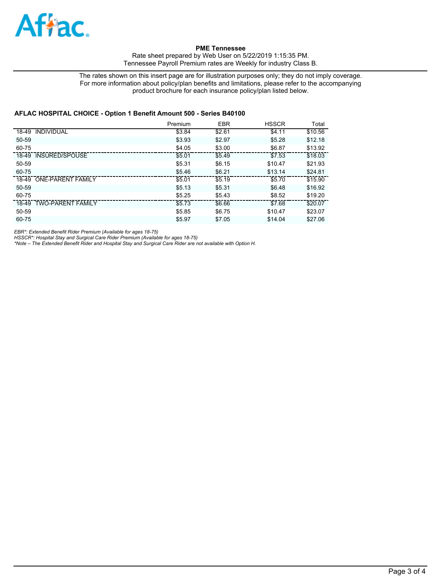

Rate sheet prepared by Web User on 5/22/2019 1:15:35 PM. Tennessee Payroll Premium rates are Weekly for industry Class B.

The rates shown on this insert page are for illustration purposes only; they do not imply coverage. For more information about policy/plan benefits and limitations, please refer to the accompanying product brochure for each insurance policy/plan listed below.

### **AFLAC HOSPITAL CHOICE - Option 1 Benefit Amount 500 - Series B40100**

|                         | Premium | <b>EBR</b> | <b>HSSCR</b> | Total   |
|-------------------------|---------|------------|--------------|---------|
| 18-49 INDIVIDUAL        | \$3.84  | \$2.61     | \$4.11       | \$10.56 |
| 50-59                   | \$3.93  | \$2.97     | \$5.28       | \$12.18 |
| $60 - 75$               | \$4.05  | \$3.00     | \$6.87       | \$13.92 |
| 18-49 INSURED/SPOUSE    | \$5.01  | \$5.49     | \$7.53       | \$18.03 |
| 50-59                   | \$5.31  | \$6.15     | \$10.47      | \$21.93 |
| 60-75                   | \$5.46  | \$6.21     | \$13.14      | \$24.81 |
| 18-49 ONE-PARENT FAMILY | \$5.01  | \$5.19     | \$5.70       | \$15.90 |
| 50-59                   | \$5.13  | \$5.31     | \$6.48       | \$16.92 |
| 60-75                   | \$5.25  | \$5.43     | \$8.52       | \$19.20 |
| 18-49 TWO-PARENT FAMILY | \$5.73  | \$6.66     | \$7.68       | \$20.07 |
| 50-59                   | \$5.85  | \$6.75     | \$10.47      | \$23.07 |
| 60-75                   | \$5.97  | \$7.05     | \$14.04      | \$27.06 |

*EBR\*: Extended Benefit Rider Premium (Available for ages 18-75)*

*HSSCR\*: Hospital Stay and Surgical Care Rider Premium (Available for ages 18-75) \*Note – The Extended Benefit Rider and Hospital Stay and Surgical Care Rider are not available with Option H.*